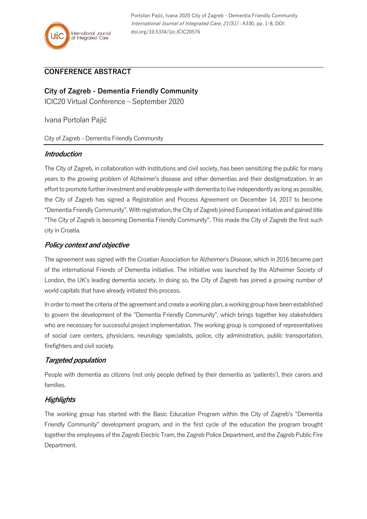

Portolan Pajić, Ivana 2020 City of Zagreb - Dementia Friendly Community International Journal of Integrated Care, 21(S1) : A330, pp. 1-8, DOI: doi.org/10.5334/ijic.ICIC20576

## **CONFERENCE ABSTRACT**

# **City of Zagreb - Dementia Friendly Community**

ICIC20 Virtual Conference – September 2020

Ivana Portolan Pajić

City of Zagreb - Dementia Friendly Community

#### **Introduction**

The City of Zagreb, in collaboration with institutions and civil society, has been sensitizing the public for many years to the growing problem of Alzheimer's disease and other dementias and their destigmatization. In an effort to promote further investment and enable people with dementia to live independently as long as possible, the City of Zagreb has signed a Registration and Process Agreement on December 14, 2017 to become "Dementia Friendly Community". With registration, the City of Zagreb joined European initiative and gained title "The City of Zagreb is becoming Dementia Friendly Community". This made the City of Zagreb the first such city in Croatia.

## **Policy context and objective**

The agreement was signed with the Croatian Association for Alzheimer's Disease, which in 2016 became part of the international Friends of Dementia initiative. The initiative was launched by the Alzheimer Society of London, the UK's leading dementia society. In doing so, the City of Zagreb has joined a growing number of world capitals that have already initiated this process.

In order to meet the criteria of the agreement and create a working plan, a working group have been established to govern the development of the "Dementia Friendly Community", which brings together key stakeholders who are necessary for successful project implementation. The working group is composed of representatives of social care centers, physicians, neurology specialists, police, city administration, public transportation, firefighters and civil society.

## **Targeted population**

People with dementia as citizens (not only people defined by their dementia as 'patients'), their carers and families.

## **Highlights**

The working group has started with the Basic Education Program within the City of Zagreb's "Dementia Friendly Community" development program, and in the first cycle of the education the program brought together the employees of the Zagreb Electric Tram, the Zagreb Police Department, and the Zagreb Public Fire Department.